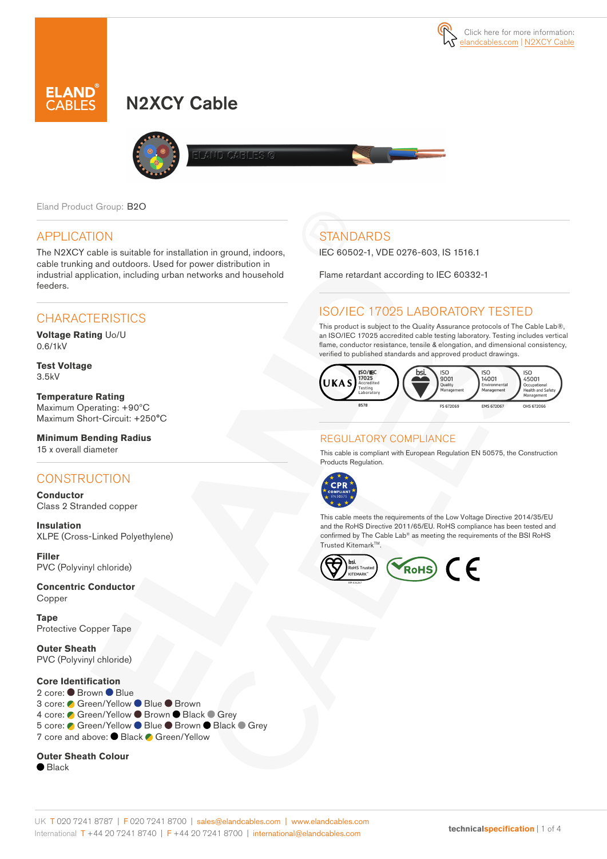

# N2XCY Cable



LAND CABLES G

Eland Product Group: B2O

#### APPLICATION

The N2XCY cable is suitable for installation in ground, indoors, cable trunking and outdoors. Used for power distribution in industrial application, including urban networks and household feeders.

### **CHARACTERISTICS**

**Voltage Rating** Uo/U 0.6/1kV

**Test Voltage** 3.5kV

**Temperature Rating** Maximum Operating: +90ºC Maximum Short-Circuit: +250°C

**Minimum Bending Radius**  15 x overall diameter

#### **CONSTRUCTION**

**Conductor** Class 2 Stranded copper

**Insulation** XLPE (Cross-Linked Polyethylene)

**Filler**  PVC (Polyvinyl chloride)

**Concentric Conductor**  Copper

**Tape** Protective Copper Tape

**Outer Sheath** PVC (Polyvinyl chloride)

#### **Core Identification**

2 core: Brown Blue 3 core: ● Green/Yellow ● Blue ● Brown 4 core: ● Green/Yellow ● Brown ● Black ● Grey 5 core: C Green/Yellow ● Blue ● Brown ● Black ● Grey 7 core and above: ● Black ● Green/Yellow

#### **Outer Sheath Colour**

● Black

# **STANDARDS**

IEC 60502-1, VDE 0276-603, IS 1516.1

Flame retardant according to IEC 60332-1

### ISO/IEC 17025 LABORATORY TESTED

This product is subject to the Quality Assurance protocols of The Cable Lab®, an ISO/IEC 17025 accredited cable testing laboratory. Testing includes vertical flame, conductor resistance, tensile & elongation, and dimensional consistency, verified to published standards and approved product drawings.



#### REGULATORY COMPLIANCE

This cable is compliant with European Regulation EN 50575, the Construction Products Regulation.



This cable meets the requirements of the Low Voltage Directive 2014/35/EU and the RoHS Directive 2011/65/EU. RoHS compliance has been tested and confirmed by The Cable Lab® as meeting the requirements of the BSI RoHS Trusted KitemarkTM.

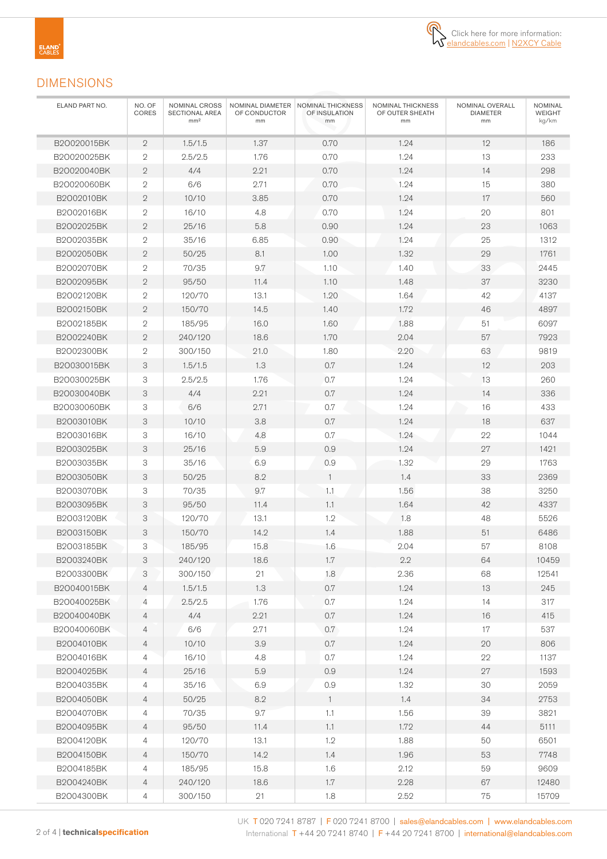

#### DIMENSIONS

| ELAND PART NO. | NO. OF<br>CORES | NOMINAL CROSS<br>SECTIONAL AREA<br>mm <sup>2</sup> | OF CONDUCTOR<br>mm | NOMINAL DIAMETER   NOMINAL THICKNESS<br>NOMINAL THICKNESS<br>OF OUTER SHEATH<br>OF INSULATION<br>mm<br>mm |         | NOMINAL OVERALL<br><b>DIAMETER</b><br>mm | <b>NOMINAL</b><br>WEIGHT<br>kg/km |
|----------------|-----------------|----------------------------------------------------|--------------------|-----------------------------------------------------------------------------------------------------------|---------|------------------------------------------|-----------------------------------|
| B20020015BK    | $\mathbf{2}$    | 1.5/1.5                                            | 1.37               | 0.70                                                                                                      | 1.24    | 12                                       | 186                               |
| B20020025BK    | $\mathbf{2}$    | 2.5/2.5                                            | 1.76               | 0.70                                                                                                      | 1.24    | 13                                       | 233                               |
| B20020040BK    | $\mathbf{2}$    | 4/4                                                | 2.21               | 0.70                                                                                                      | 1.24    | 14                                       | 298                               |
| B20020060BK    | $\mathbf{2}$    | 6/6                                                | 2.71               | 0.70                                                                                                      | 1.24    | 15                                       | 380                               |
| B2002010BK     | $\mathbf{2}$    | 10/10                                              | 3.85               | 0.70                                                                                                      | 1.24    | 17                                       | 560                               |
| B2002016BK     | $\mathbf{2}$    | 16/10                                              | 4.8                | 0.70                                                                                                      | 1.24    | 20                                       | 801                               |
| B2002025BK     | $\mathbf{2}$    | 25/16                                              | 5.8                | 0.90                                                                                                      | 1.24    | 23                                       | 1063                              |
| B2002035BK     | $\overline{2}$  | 35/16                                              | 6.85               | 0.90                                                                                                      | 1.24    | 25                                       | 1312                              |
| B2002050BK     | $\mathbf{2}$    | 50/25                                              | 8.1                | 1.00                                                                                                      | 1.32    | 29                                       | 1761                              |
| B2002070BK     | $\overline{2}$  | 70/35                                              | 9.7                | 1.10                                                                                                      | 1.40    | 33                                       | 2445                              |
| B2002095BK     | $\mathbf{2}$    | 95/50                                              | 11.4               | 1.10                                                                                                      | 1.48    | 37                                       | 3230                              |
| B2002120BK     | $\overline{2}$  | 120/70                                             | 13.1               | 1.20                                                                                                      | 1.64    | 42                                       | 4137                              |
| B2002150BK     | $\mathbf{2}$    | 150/70                                             | 14.5               | 1.40                                                                                                      | 1.72    | 46                                       | 4897                              |
| B2002185BK     | $\overline{2}$  | 185/95                                             | 16.0               | 1.60                                                                                                      | 1.88    | 51                                       | 6097                              |
| B2002240BK     | $\mathbf{2}$    | 240/120                                            | 18.6               | 1.70                                                                                                      | 2.04    | 57                                       | 7923                              |
| B2002300BK     | $\mathbf{2}$    | 300/150                                            | 21.0               | 1.80                                                                                                      | 2.20    | 63                                       | 9819                              |
| B20030015BK    | 3               | 1.5/1.5                                            | 1.3                | 0.7                                                                                                       | 1.24    | 12                                       | 203                               |
| B20030025BK    | 3               | 2.5/2.5                                            | 1.76               | 0.7                                                                                                       | 1.24    | 13                                       | 260                               |
| B20030040BK    | 3               | 4/4                                                | 2.21               | 0.7                                                                                                       | 1.24    | 14                                       | 336                               |
| B20030060BK    | 3               | 6/6                                                | 2.71               | 0.7                                                                                                       | 1.24    | 16                                       | 433                               |
| B2003010BK     | 3               | 10/10                                              | 3.8                | 0.7                                                                                                       | 1.24    | 18                                       | 637                               |
| B2003016BK     | 3               | 16/10                                              | 4.8                | 0.7                                                                                                       | 1.24    | 22                                       | 1044                              |
| B2003025BK     | 3               | 25/16                                              | 5.9                | 0.9                                                                                                       | 1.24    | 27                                       | 1421                              |
| B2003035BK     | 3               | 35/16                                              | 6.9                | 0.9                                                                                                       | 1.32    | 29                                       | 1763                              |
| B2003050BK     | 3               | 50/25                                              | 8.2                | $\mathbf{1}$                                                                                              | 1.4     | 33                                       | 2369                              |
| B2003070BK     | 3               | 70/35                                              | 9.7                | 1.1                                                                                                       | 1.56    | 38                                       | 3250                              |
| B2003095BK     | 3               | 95/50                                              | 11.4               | 1.1                                                                                                       | 1.64    | 42                                       | 4337                              |
| B2003120BK     | 3               | 120/70                                             | 13.1               | 1.2                                                                                                       | 1.8     | 48                                       | 5526                              |
| B2003150BK     | 3               | 150/70                                             | 14.2               | 1.4                                                                                                       | 1.88    | 51                                       | 6486                              |
| B2003185BK     | 3               | 185/95                                             | 15.8               | 1.6                                                                                                       | 2.04    | 57                                       | 8108                              |
| B2O03240BK     | 3               | 240/120                                            | 18.6               | 1.7                                                                                                       | $2.2\,$ | 64                                       | 10459                             |
| B2003300BK     | 3               | 300/150                                            | 21                 | 1.8                                                                                                       | 2.36    | 68                                       | 12541                             |
| B20040015BK    | 4               | 1.5/1.5                                            | 1.3                | 0.7                                                                                                       | 1.24    | 13                                       | 245                               |
| B20040025BK    | $\overline{4}$  | 2.5/2.5                                            | 1.76               | 0.7                                                                                                       | 1.24    | 14                                       | 317                               |
| B20040040BK    | 4               | 4/4                                                | 2.21               | 0.7                                                                                                       | 1.24    | 16                                       | 415                               |
| B20040060BK    | 4               | 6/6                                                | 2.71               | 0.7                                                                                                       | 1.24    | 17                                       | 537                               |
| B2004010BK     | 4               | 10/10                                              | 3.9                | 0.7                                                                                                       | 1.24    | 20                                       | 806                               |
| B2004016BK     | 4               | 16/10                                              | 4.8                | $0.7\,$                                                                                                   | 1.24    | 22                                       | 1137                              |
| B2004025BK     | 4               | 25/16                                              | 5.9                | 0.9                                                                                                       | 1.24    | 27                                       | 1593                              |
| B2004035BK     | 4               | 35/16                                              | 6.9                | $0.9\,$                                                                                                   | 1.32    | 30                                       | 2059                              |
| B2004050BK     | 4               | 50/25                                              | $8.2\,$            | $\mathbf{1}$                                                                                              | 1.4     | 34                                       | 2753                              |
| B2004070BK     | 4               | 70/35                                              | 9.7                | 1.1                                                                                                       | 1.56    | 39                                       | 3821                              |
| B2004095BK     | 4               | 95/50                                              | 11.4               | 1.1                                                                                                       | 1.72    | 44                                       | 5111                              |
| B2004120BK     | 4               | 120/70                                             | 13.1               | 1.2                                                                                                       | 1.88    | 50                                       | 6501                              |
| B2004150BK     | 4               | 150/70                                             | 14.2               | 1.4                                                                                                       | 1.96    | 53                                       | 7748                              |
| B2004185BK     | 4               | 185/95                                             | 15.8               | 1.6                                                                                                       | 2.12    | 59                                       | 9609                              |
| B2004240BK     | $\overline{4}$  | 240/120                                            | 18.6               | 1.7                                                                                                       | 2.28    | 67                                       | 12480                             |
| B2004300BK     | 4               | 300/150                                            | 21                 | 1.8                                                                                                       | 2.52    | 75                                       | 15709                             |

UK T 020 7241 8787 | F 020 7241 8700 | sales@elandcables.com | www.elandcables.com 2 of 4 | **technicalspecification** International T +44 20 7241 8740 | F +44 20 7241 8700 | international@elandcables.com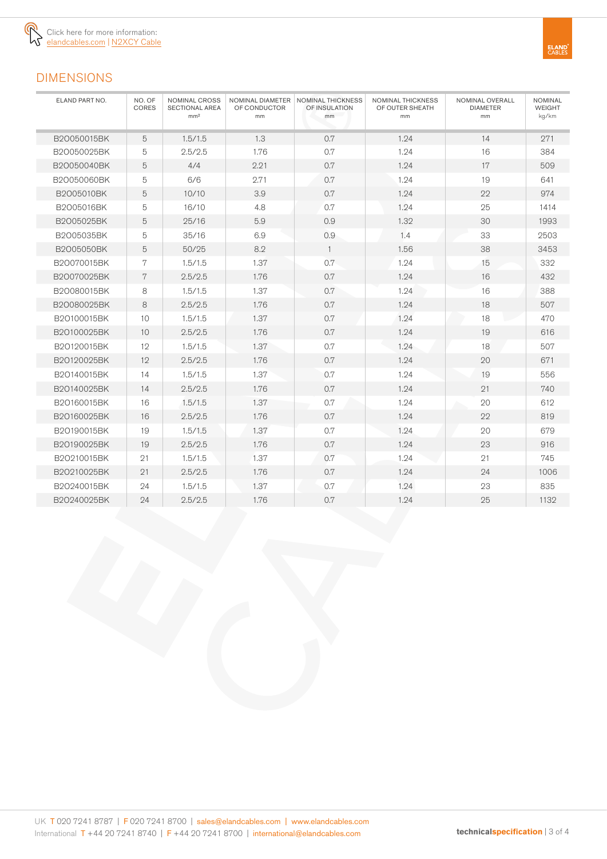

## DIMENSIONS

| ELAND PART NO. | NO. OF<br>CORES | NOMINAL CROSS<br><b>SECTIONAL AREA</b><br>mm <sup>2</sup> | OF CONDUCTOR<br>mm | NOMINAL DIAMETER   NOMINAL THICKNESS<br>OF INSULATION<br>mm | NOMINAL THICKNESS<br>OF OUTER SHEATH<br>mm | NOMINAL OVERALL<br><b>DIAMETER</b><br>mm | <b>NOMINAL</b><br><b>WEIGHT</b><br>kg/km |
|----------------|-----------------|-----------------------------------------------------------|--------------------|-------------------------------------------------------------|--------------------------------------------|------------------------------------------|------------------------------------------|
| B20050015BK    | 5               | 1.5/1.5                                                   | 1.3                | 0.7                                                         | 1.24                                       | 14                                       | 271                                      |
| B20050025BK    | 5               | 2.5/2.5                                                   | 1.76               | 0.7                                                         | 1.24                                       | 16                                       | 384                                      |
| B20050040BK    | 5               | 4/4                                                       | 2.21               | 0.7                                                         | 1.24                                       | 17                                       | 509                                      |
| B20050060BK    | 5               | 6/6                                                       | 2.71               | 0.7                                                         | 1.24                                       | 19                                       | 641                                      |
| B2005010BK     | 5               | 10/10                                                     | 3.9                | 0.7                                                         | 1.24                                       | 22                                       | 974                                      |
| B2005016BK     | 5               | 16/10                                                     | 4.8                | 0.7                                                         | 1.24                                       | 25                                       | 1414                                     |
| B2005025BK     | 5               | 25/16                                                     | 5.9                | 0.9                                                         | 1.32                                       | 30                                       | 1993                                     |
| B2005035BK     | 5               | 35/16                                                     | 6.9                | 0.9                                                         | 1.4                                        | 33                                       | 2503                                     |
| B2005050BK     | 5               | 50/25                                                     | 8.2                | $\mathbf{1}$                                                | 1.56                                       | 38                                       | 3453                                     |
| B20070015BK    | 7               | 1.5/1.5                                                   | 1.37               | 0.7                                                         | 1.24                                       | 15                                       | 332                                      |
| B20070025BK    | 7               | 2.5/2.5                                                   | 1.76               | 0.7                                                         | 1.24                                       | 16                                       | 432                                      |
| B20080015BK    | 8               | 1.5/1.5                                                   | 1.37               | 0.7                                                         | 1.24                                       | 16                                       | 388                                      |
| B20080025BK    | 8               | 2.5/2.5                                                   | 1.76               | 0.7                                                         | 1.24                                       | 18                                       | 507                                      |
| B20100015BK    | 10              | 1.5/1.5                                                   | 1.37               | 0.7                                                         | 1.24                                       | 18                                       | 470                                      |
| B20100025BK    | 10              | 2.5/2.5                                                   | 1.76               | 0.7                                                         | 1.24                                       | 19                                       | 616                                      |
| B20120015BK    | 12              | 1.5/1.5                                                   | 1.37               | 0.7                                                         | 1.24                                       | 18                                       | 507                                      |
| B20120025BK    | 12              | 2.5/2.5                                                   | 1.76               | 0.7                                                         | 1.24                                       | 20                                       | 671                                      |
| B20140015BK    | 14              | 1.5/1.5                                                   | 1.37               | 0.7                                                         | 1.24                                       | 19                                       | 556                                      |
| B20140025BK    | 14              | 2.5/2.5                                                   | 1.76               | 0.7                                                         | 1.24                                       | 21                                       | 740                                      |
| B20160015BK    | 16              | 1.5/1.5                                                   | 1.37               | 0.7                                                         | 1.24                                       | 20                                       | 612                                      |
| B20160025BK    | 16              | 2.5/2.5                                                   | 1.76               | 0.7                                                         | 1.24                                       | 22                                       | 819                                      |
| B20190015BK    | 19              | 1.5/1.5                                                   | 1.37               | 0.7                                                         | 1.24                                       | 20                                       | 679                                      |
| B20190025BK    | 19              | 2.5/2.5                                                   | 1.76               | 0.7                                                         | 1.24                                       | 23                                       | 916                                      |
| B20210015BK    | 21              | 1.5/1.5                                                   | 1.37               | 0.7                                                         | 1.24                                       | 21                                       | 745                                      |
| B20210025BK    | 21              | 2.5/2.5                                                   | 1.76               | 0.7                                                         | 1.24                                       | 24                                       | 1006                                     |
| B20240015BK    | 24              | 1.5/1.5                                                   | 1.37               | 0.7                                                         | 1.24                                       | 23                                       | 835                                      |
| B20240025BK    | 24              | 2.5/2.5                                                   | 1.76               | 0.7                                                         | 1.24                                       | 25                                       | 1132                                     |